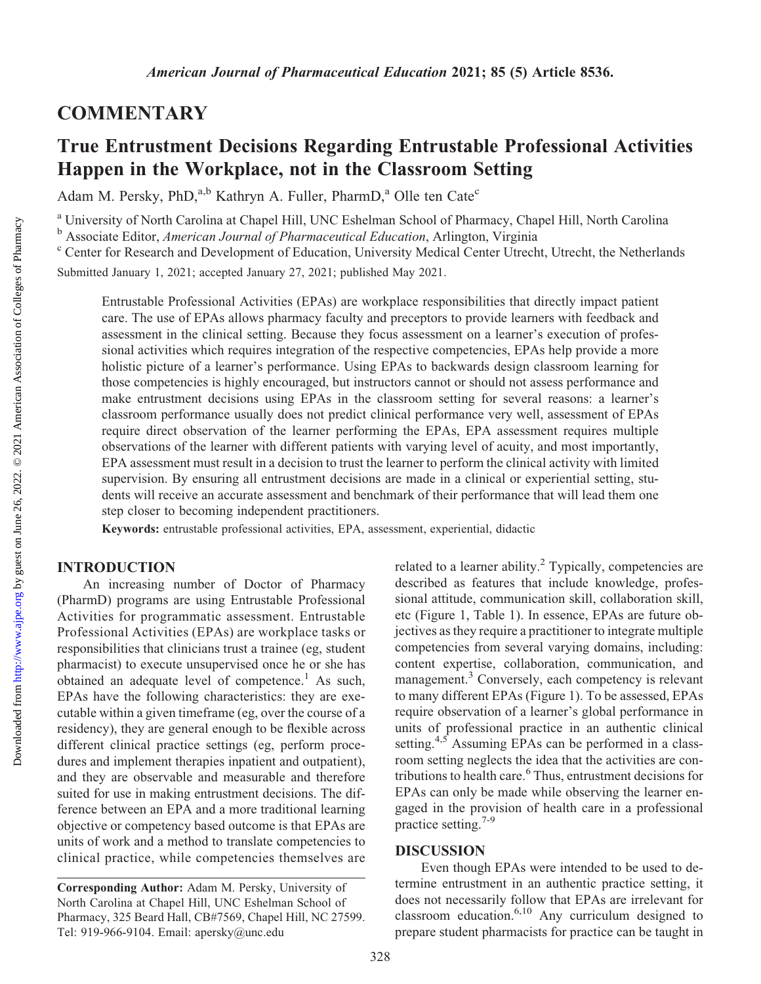## **COMMENTARY**

# True Entrustment Decisions Regarding Entrustable Professional Activities Happen in the Workplace, not in the Classroom Setting

Adam M. Persky, PhD,<sup>a,b</sup> Kathryn A. Fuller, PharmD,<sup>a</sup> Olle ten Cate<sup>c</sup>

<sup>a</sup> University of North Carolina at Chapel Hill, UNC Eshelman School of Pharmacy, Chapel Hill, North Carolina **b** Associate Editor, *American Journal of Pharmaceutical Education*, Arlington, Virginia

<sup>c</sup> Center for Research and Development of Education, University Medical Center Utrecht, Utrecht, the Netherlands

Submitted January 1, 2021; accepted January 27, 2021; published May 2021.

Entrustable Professional Activities (EPAs) are workplace responsibilities that directly impact patient care. The use of EPAs allows pharmacy faculty and preceptors to provide learners with feedback and assessment in the clinical setting. Because they focus assessment on a learner's execution of professional activities which requires integration of the respective competencies, EPAs help provide a more holistic picture of a learner's performance. Using EPAs to backwards design classroom learning for those competencies is highly encouraged, but instructors cannot or should not assess performance and make entrustment decisions using EPAs in the classroom setting for several reasons: a learner's classroom performance usually does not predict clinical performance very well, assessment of EPAs require direct observation of the learner performing the EPAs, EPA assessment requires multiple observations of the learner with different patients with varying level of acuity, and most importantly, EPA assessment must result in a decision to trust the learner to perform the clinical activity with limited supervision. By ensuring all entrustment decisions are made in a clinical or experiential setting, students will receive an accurate assessment and benchmark of their performance that will lead them one step closer to becoming independent practitioners.

Keywords: entrustable professional activities, EPA, assessment, experiential, didactic

### INTRODUCTION

An increasing number of Doctor of Pharmacy (PharmD) programs are using Entrustable Professional Activities for programmatic assessment. Entrustable Professional Activities (EPAs) are workplace tasks or responsibilities that clinicians trust a trainee (eg, student pharmacist) to execute unsupervised once he or she has obtained an adequate level of competence.<sup>1</sup> As such, EPAs have the following characteristics: they are executable within a given timeframe (eg, over the course of a residency), they are general enough to be flexible across different clinical practice settings (eg, perform procedures and implement therapies inpatient and outpatient), and they are observable and measurable and therefore suited for use in making entrustment decisions. The difference between an EPA and a more traditional learning objective or competency based outcome is that EPAs are units of work and a method to translate competencies to clinical practice, while competencies themselves are

related to a learner ability.<sup>2</sup> Typically, competencies are described as features that include knowledge, professional attitude, communication skill, collaboration skill, etc (Figure 1, Table 1). In essence, EPAs are future objectives as they require a practitioner to integrate multiple competencies from several varying domains, including: content expertise, collaboration, communication, and management.<sup>3</sup> Conversely, each competency is relevant to many different EPAs (Figure 1). To be assessed, EPAs require observation of a learner's global performance in units of professional practice in an authentic clinical setting.<sup>4,5</sup> Assuming EPAs can be performed in a classroom setting neglects the idea that the activities are contributions to health care.<sup>6</sup> Thus, entrustment decisions for EPAs can only be made while observing the learner engaged in the provision of health care in a professional practice setting.7-9

#### **DISCUSSION**

Even though EPAs were intended to be used to determine entrustment in an authentic practice setting, it does not necessarily follow that EPAs are irrelevant for classroom education. $6,10$  Any curriculum designed to prepare student pharmacists for practice can be taught in

Corresponding Author: Adam M. Persky, University of North Carolina at Chapel Hill, UNC Eshelman School of Pharmacy, 325 Beard Hall, CB#7569, Chapel Hill, NC 27599. Tel: 919-966-9104. Email: [apersky@unc.edu](mailto:apersky@unc.edu)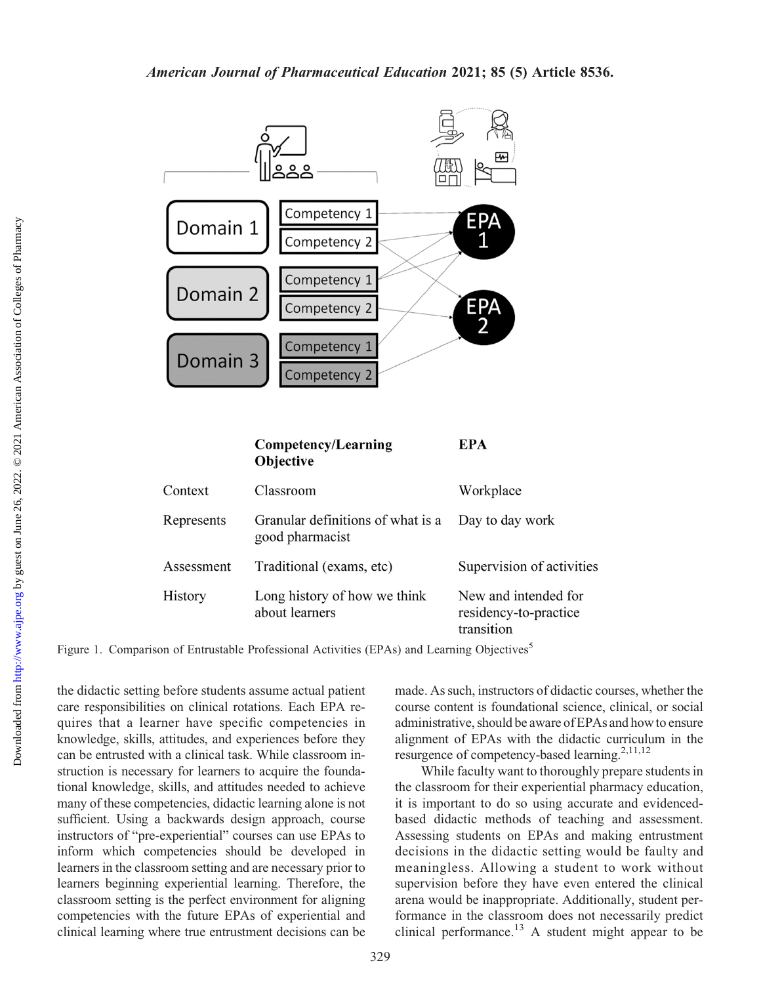

|            | <b>Competency/Learning</b><br>Objective              | EPA                                                         |
|------------|------------------------------------------------------|-------------------------------------------------------------|
| Context    | Classroom                                            | Workplace                                                   |
| Represents | Granular definitions of what is a<br>good pharmacist | Day to day work                                             |
| Assessment | Traditional (exams, etc)                             | Supervision of activities                                   |
| History    | Long history of how we think<br>about learners       | New and intended for<br>residency-to-practice<br>transition |

Figure 1. Comparison of Entrustable Professional Activities (EPAs) and Learning Objectives<sup>5</sup>

the didactic setting before students assume actual patient care responsibilities on clinical rotations. Each EPA requires that a learner have specific competencies in knowledge, skills, attitudes, and experiences before they can be entrusted with a clinical task. While classroom instruction is necessary for learners to acquire the foundational knowledge, skills, and attitudes needed to achieve many of these competencies, didactic learning alone is not sufficient. Using a backwards design approach, course instructors of "pre-experiential" courses can use EPAs to inform which competencies should be developed in learners in the classroom setting and are necessary prior to learners beginning experiential learning. Therefore, the classroom setting is the perfect environment for aligning competencies with the future EPAs of experiential and clinical learning where true entrustment decisions can be

made. As such, instructors of didactic courses, whether the course content is foundational science, clinical, or social administrative, should be aware of EPAs and howto ensure alignment of EPAs with the didactic curriculum in the resurgence of competency-based learning.<sup>2,11,12</sup>

While faculty want to thoroughly prepare students in the classroom for their experiential pharmacy education, it is important to do so using accurate and evidencedbased didactic methods of teaching and assessment. Assessing students on EPAs and making entrustment decisions in the didactic setting would be faulty and meaningless. Allowing a student to work without supervision before they have even entered the clinical arena would be inappropriate. Additionally, student performance in the classroom does not necessarily predict clinical performance.<sup>13</sup> A student might appear to be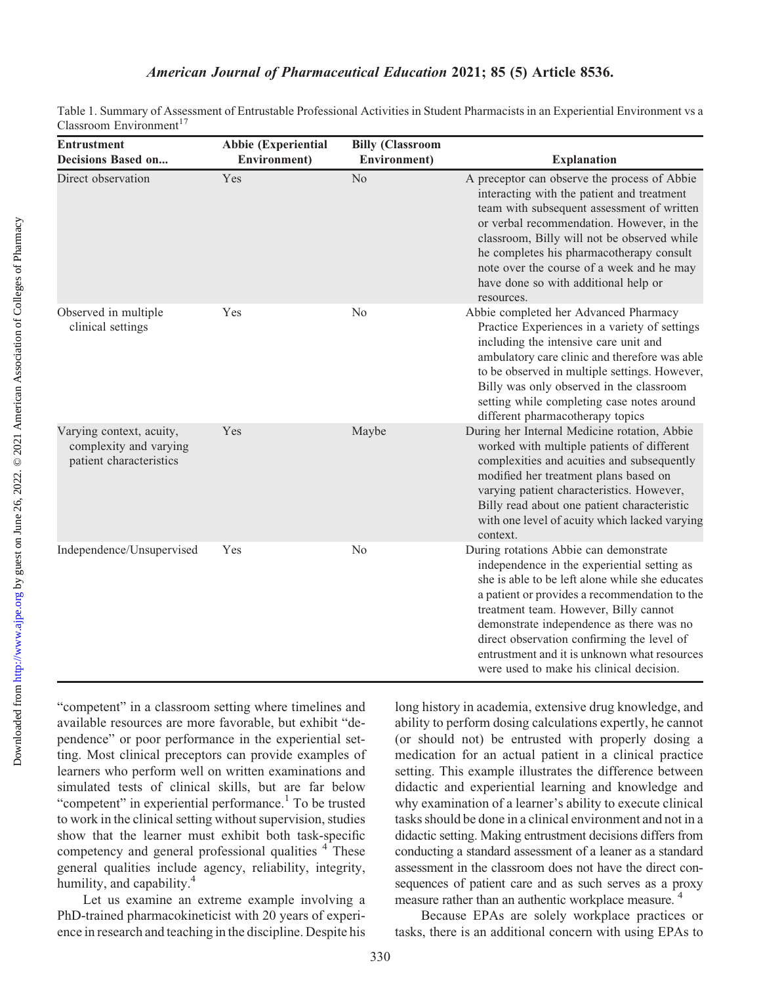#### American Journal of Pharmaceutical Education 2021; 85 (5) Article 8536.

Table 1. Summary of Assessment of Entrustable Professional Activities in Student Pharmacists in an Experiential Environment vs a Classroom Environment $17$ 

| <b>Entrustment</b><br><b>Decisions Based on</b>                               | <b>Abbie (Experiential</b><br><b>Environment</b> ) | <b>Billy (Classroom</b><br><b>Environment</b> ) | <b>Explanation</b>                                                                                                                                                                                                                                                                                                                                                                                                       |
|-------------------------------------------------------------------------------|----------------------------------------------------|-------------------------------------------------|--------------------------------------------------------------------------------------------------------------------------------------------------------------------------------------------------------------------------------------------------------------------------------------------------------------------------------------------------------------------------------------------------------------------------|
| Direct observation                                                            | Yes                                                | N <sub>o</sub>                                  | A preceptor can observe the process of Abbie<br>interacting with the patient and treatment<br>team with subsequent assessment of written<br>or verbal recommendation. However, in the<br>classroom, Billy will not be observed while<br>he completes his pharmacotherapy consult<br>note over the course of a week and he may<br>have done so with additional help or<br>resources.                                      |
| Observed in multiple<br>clinical settings                                     | Yes                                                | N <sub>0</sub>                                  | Abbie completed her Advanced Pharmacy<br>Practice Experiences in a variety of settings<br>including the intensive care unit and<br>ambulatory care clinic and therefore was able<br>to be observed in multiple settings. However,<br>Billy was only observed in the classroom<br>setting while completing case notes around<br>different pharmacotherapy topics                                                          |
| Varying context, acuity,<br>complexity and varying<br>patient characteristics | Yes                                                | Maybe                                           | During her Internal Medicine rotation, Abbie<br>worked with multiple patients of different<br>complexities and acuities and subsequently<br>modified her treatment plans based on<br>varying patient characteristics. However,<br>Billy read about one patient characteristic<br>with one level of acuity which lacked varying<br>context.                                                                               |
| Independence/Unsupervised                                                     | Yes                                                | N <sub>o</sub>                                  | During rotations Abbie can demonstrate<br>independence in the experiential setting as<br>she is able to be left alone while she educates<br>a patient or provides a recommendation to the<br>treatment team. However, Billy cannot<br>demonstrate independence as there was no<br>direct observation confirming the level of<br>entrustment and it is unknown what resources<br>were used to make his clinical decision. |

"competent" in a classroom setting where timelines and available resources are more favorable, but exhibit "dependence" or poor performance in the experiential setting. Most clinical preceptors can provide examples of learners who perform well on written examinations and simulated tests of clinical skills, but are far below "competent" in experiential performance.<sup>1</sup> To be trusted to work in the clinical setting without supervision, studies show that the learner must exhibit both task-specific competency and general professional qualities <sup>4</sup> These general qualities include agency, reliability, integrity, humility, and capability.<sup>4</sup>

Let us examine an extreme example involving a PhD-trained pharmacokineticist with 20 years of experience in research and teaching in the discipline. Despite his long history in academia, extensive drug knowledge, and ability to perform dosing calculations expertly, he cannot (or should not) be entrusted with properly dosing a medication for an actual patient in a clinical practice setting. This example illustrates the difference between didactic and experiential learning and knowledge and why examination of a learner's ability to execute clinical tasks should be done in a clinical environment and not in a didactic setting. Making entrustment decisions differs from conducting a standard assessment of a leaner as a standard assessment in the classroom does not have the direct consequences of patient care and as such serves as a proxy measure rather than an authentic workplace measure.<sup>4</sup>

Because EPAs are solely workplace practices or tasks, there is an additional concern with using EPAs to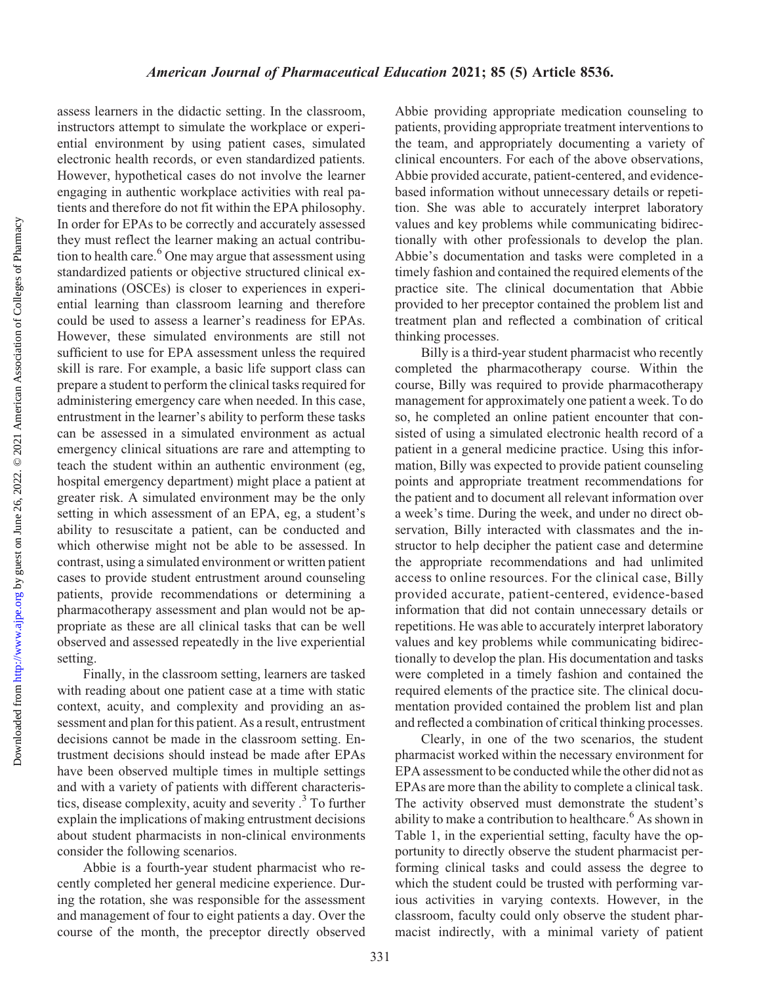assess learners in the didactic setting. In the classroom, instructors attempt to simulate the workplace or experiential environment by using patient cases, simulated electronic health records, or even standardized patients. However, hypothetical cases do not involve the learner engaging in authentic workplace activities with real patients and therefore do not fit within the EPA philosophy. In order for EPAs to be correctly and accurately assessed they must reflect the learner making an actual contribution to health care.<sup>6</sup> One may argue that assessment using standardized patients or objective structured clinical examinations (OSCEs) is closer to experiences in experiential learning than classroom learning and therefore could be used to assess a learner's readiness for EPAs. However, these simulated environments are still not sufficient to use for EPA assessment unless the required skill is rare. For example, a basic life support class can prepare a student to perform the clinical tasks required for administering emergency care when needed. In this case, entrustment in the learner's ability to perform these tasks can be assessed in a simulated environment as actual emergency clinical situations are rare and attempting to teach the student within an authentic environment (eg, hospital emergency department) might place a patient at greater risk. A simulated environment may be the only setting in which assessment of an EPA, eg, a student's ability to resuscitate a patient, can be conducted and which otherwise might not be able to be assessed. In contrast, using a simulated environment or written patient cases to provide student entrustment around counseling patients, provide recommendations or determining a pharmacotherapy assessment and plan would not be appropriate as these are all clinical tasks that can be well observed and assessed repeatedly in the live experiential setting.

Finally, in the classroom setting, learners are tasked with reading about one patient case at a time with static context, acuity, and complexity and providing an assessment and plan for this patient. As a result, entrustment decisions cannot be made in the classroom setting. Entrustment decisions should instead be made after EPAs have been observed multiple times in multiple settings and with a variety of patients with different characteristics, disease complexity, acuity and severity .<sup>3</sup> To further explain the implications of making entrustment decisions about student pharmacists in non-clinical environments consider the following scenarios.

Abbie is a fourth-year student pharmacist who recently completed her general medicine experience. During the rotation, she was responsible for the assessment and management of four to eight patients a day. Over the course of the month, the preceptor directly observed

Abbie providing appropriate medication counseling to patients, providing appropriate treatment interventions to the team, and appropriately documenting a variety of clinical encounters. For each of the above observations, Abbie provided accurate, patient-centered, and evidencebased information without unnecessary details or repetition. She was able to accurately interpret laboratory values and key problems while communicating bidirectionally with other professionals to develop the plan. Abbie's documentation and tasks were completed in a timely fashion and contained the required elements of the practice site. The clinical documentation that Abbie provided to her preceptor contained the problem list and treatment plan and reflected a combination of critical thinking processes.

Billy is a third-year student pharmacist who recently completed the pharmacotherapy course. Within the course, Billy was required to provide pharmacotherapy management for approximately one patient a week. To do so, he completed an online patient encounter that consisted of using a simulated electronic health record of a patient in a general medicine practice. Using this information, Billy was expected to provide patient counseling points and appropriate treatment recommendations for the patient and to document all relevant information over a week's time. During the week, and under no direct observation, Billy interacted with classmates and the instructor to help decipher the patient case and determine the appropriate recommendations and had unlimited access to online resources. For the clinical case, Billy provided accurate, patient-centered, evidence-based information that did not contain unnecessary details or repetitions. He was able to accurately interpret laboratory values and key problems while communicating bidirectionally to develop the plan. His documentation and tasks were completed in a timely fashion and contained the required elements of the practice site. The clinical documentation provided contained the problem list and plan and reflected a combination of critical thinking processes.

Clearly, in one of the two scenarios, the student pharmacist worked within the necessary environment for EPA assessment to be conducted while the other did not as EPAs are more than the ability to complete a clinical task. The activity observed must demonstrate the student's ability to make a contribution to healthcare.<sup>6</sup> As shown in Table 1, in the experiential setting, faculty have the opportunity to directly observe the student pharmacist performing clinical tasks and could assess the degree to which the student could be trusted with performing various activities in varying contexts. However, in the classroom, faculty could only observe the student pharmacist indirectly, with a minimal variety of patient